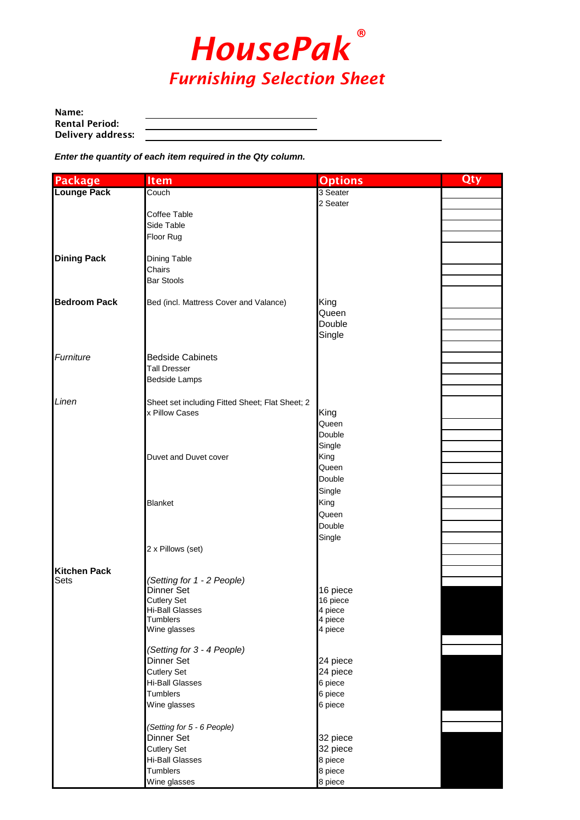

| Name:                 |  |
|-----------------------|--|
| <b>Rental Period:</b> |  |
| Delivery address:     |  |

*Enter the quantity of each item required in the Qty column.*

| <b>Package</b>      | <b>Item</b>                                     | <b>Options</b>     | Qty |
|---------------------|-------------------------------------------------|--------------------|-----|
| <b>Lounge Pack</b>  | Couch                                           | 3 Seater           |     |
|                     |                                                 | 2 Seater           |     |
|                     | Coffee Table                                    |                    |     |
|                     | Side Table                                      |                    |     |
|                     | Floor Rug                                       |                    |     |
|                     |                                                 |                    |     |
| <b>Dining Pack</b>  | Dining Table                                    |                    |     |
|                     | Chairs                                          |                    |     |
|                     | <b>Bar Stools</b>                               |                    |     |
|                     |                                                 |                    |     |
| <b>Bedroom Pack</b> | Bed (incl. Mattress Cover and Valance)          | King               |     |
|                     |                                                 | Queen              |     |
|                     |                                                 | Double             |     |
|                     |                                                 | Single             |     |
|                     |                                                 |                    |     |
| Furniture           | <b>Bedside Cabinets</b>                         |                    |     |
|                     | <b>Tall Dresser</b>                             |                    |     |
|                     | <b>Bedside Lamps</b>                            |                    |     |
|                     |                                                 |                    |     |
| Linen               | Sheet set including Fitted Sheet; Flat Sheet; 2 |                    |     |
|                     | x Pillow Cases                                  | King<br>Queen      |     |
|                     |                                                 | Double             |     |
|                     |                                                 | Single             |     |
|                     | Duvet and Duvet cover                           | King               |     |
|                     |                                                 | Queen              |     |
|                     |                                                 | Double             |     |
|                     |                                                 | Single             |     |
|                     | <b>Blanket</b>                                  | King               |     |
|                     |                                                 | Queen              |     |
|                     |                                                 | Double             |     |
|                     |                                                 |                    |     |
|                     |                                                 | Single             |     |
|                     | 2 x Pillows (set)                               |                    |     |
| <b>Kitchen Pack</b> |                                                 |                    |     |
| Sets                | (Setting for 1 - 2 People)                      |                    |     |
|                     | Dinner Set                                      | 16 piece           |     |
|                     | <b>Cutlery Set</b>                              | 16 piece           |     |
|                     | Hi-Ball Glasses                                 | 4 piece            |     |
|                     | <b>Tumblers</b><br>Wine glasses                 | 4 piece<br>4 piece |     |
|                     |                                                 |                    |     |
|                     | (Setting for 3 - 4 People)                      |                    |     |
|                     | Dinner Set                                      | 24 piece           |     |
|                     | <b>Cutlery Set</b>                              | 24 piece           |     |
|                     | Hi-Ball Glasses                                 | 6 piece            |     |
|                     | Tumblers                                        | 6 piece            |     |
|                     | Wine glasses                                    | 6 piece            |     |
|                     |                                                 |                    |     |
|                     | (Setting for 5 - 6 People)                      |                    |     |
|                     | Dinner Set                                      | 32 piece           |     |
|                     | <b>Cutlery Set</b>                              | 32 piece           |     |
|                     | Hi-Ball Glasses                                 | 8 piece            |     |
|                     | Tumblers                                        | 8 piece            |     |
|                     | Wine glasses                                    | 8 piece            |     |